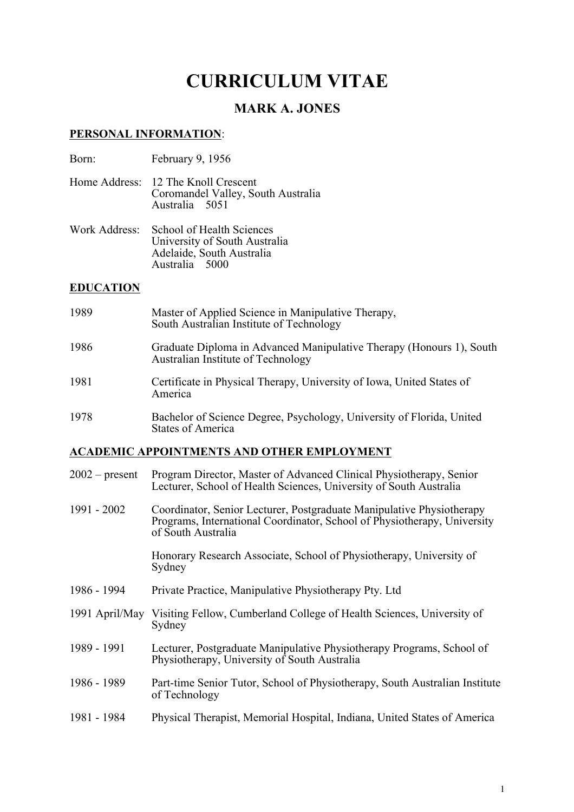# **CURRICULUM VITAE**

## **MARK A. JONES**

#### **PERSONAL INFORMATION**:

| Born: | February 9, 1956 |
|-------|------------------|
|-------|------------------|

Home Address: 12 The Knoll Crescent Coromandel Valley, South Australia Australia 5051

Work Address: School of Health Sciences University of South Australia Adelaide, South Australia Australia<sup>5000</sup>

#### **EDUCATION**

| 1989 | Master of Applied Science in Manipulative Therapy,<br>South Australian Institute of Technology             |
|------|------------------------------------------------------------------------------------------------------------|
| 1986 | Graduate Diploma in Advanced Manipulative Therapy (Honours 1), South<br>Australian Institute of Technology |
| 1981 | Certificate in Physical Therapy, University of Iowa, United States of<br>America                           |
| 1978 | Bachelor of Science Degree, Psychology, University of Florida, United<br><b>States of America</b>          |

## **ACADEMIC APPOINTMENTS AND OTHER EMPLOYMENT**

| $2002$ – present | Program Director, Master of Advanced Clinical Physiotherapy, Senior<br>Lecturer, School of Health Sciences, University of South Australia                               |
|------------------|-------------------------------------------------------------------------------------------------------------------------------------------------------------------------|
| 1991 - 2002      | Coordinator, Senior Lecturer, Postgraduate Manipulative Physiotherapy<br>Programs, International Coordinator, School of Physiotherapy, University<br>of South Australia |
|                  | Honorary Research Associate, School of Physiotherapy, University of<br>Sydney                                                                                           |
| 1986 - 1994      | Private Practice, Manipulative Physiotherapy Pty. Ltd                                                                                                                   |
| 1991 April/May   | Visiting Fellow, Cumberland College of Health Sciences, University of<br>Sydney                                                                                         |
| 1989 - 1991      | Lecturer, Postgraduate Manipulative Physiotherapy Programs, School of<br>Physiotherapy, University of South Australia                                                   |
| 1986 - 1989      | Part-time Senior Tutor, School of Physiotherapy, South Australian Institute<br>of Technology                                                                            |
| 1981 - 1984      | Physical Therapist, Memorial Hospital, Indiana, United States of America                                                                                                |
|                  |                                                                                                                                                                         |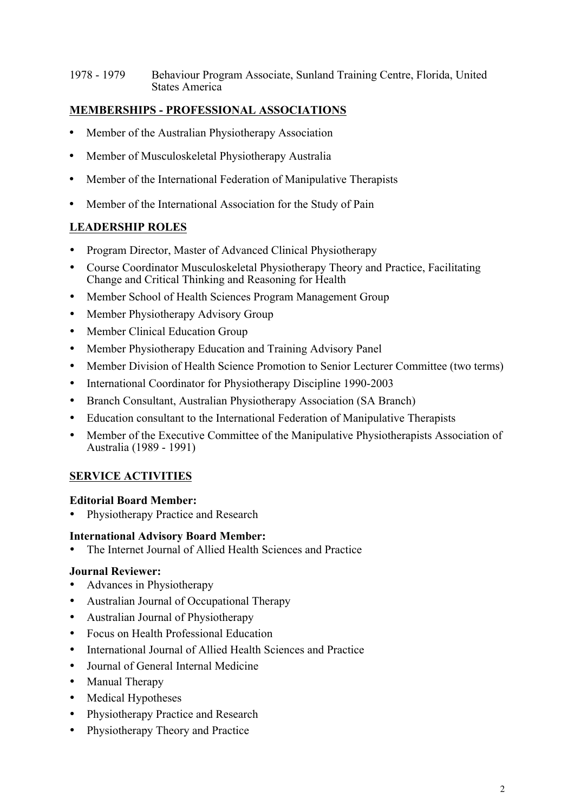1978 - 1979 Behaviour Program Associate, Sunland Training Centre, Florida, United States America

## **MEMBERSHIPS - PROFESSIONAL ASSOCIATIONS**

- Member of the Australian Physiotherapy Association
- Member of Musculoskeletal Physiotherapy Australia
- Member of the International Federation of Manipulative Therapists
- Member of the International Association for the Study of Pain

## **LEADERSHIP ROLES**

- Program Director, Master of Advanced Clinical Physiotherapy
- Course Coordinator Musculoskeletal Physiotherapy Theory and Practice, Facilitating Change and Critical Thinking and Reasoning for Health
- Member School of Health Sciences Program Management Group
- Member Physiotherapy Advisory Group
- Member Clinical Education Group
- Member Physiotherapy Education and Training Advisory Panel
- Member Division of Health Science Promotion to Senior Lecturer Committee (two terms)
- International Coordinator for Physiotherapy Discipline 1990-2003
- Branch Consultant, Australian Physiotherapy Association (SA Branch)
- Education consultant to the International Federation of Manipulative Therapists
- Member of the Executive Committee of the Manipulative Physiotherapists Association of Australia (1989 - 1991)

## **SERVICE ACTIVITIES**

#### **Editorial Board Member:**

• Physiotherapy Practice and Research

#### **International Advisory Board Member:**

• The Internet Journal of Allied Health Sciences and Practice

#### **Journal Reviewer:**

- Advances in Physiotherapy
- Australian Journal of Occupational Therapy
- Australian Journal of Physiotherapy
- Focus on Health Professional Education
- International Journal of Allied Health Sciences and Practice
- Journal of General Internal Medicine
- Manual Therapy
- Medical Hypotheses
- Physiotherapy Practice and Research
- Physiotherapy Theory and Practice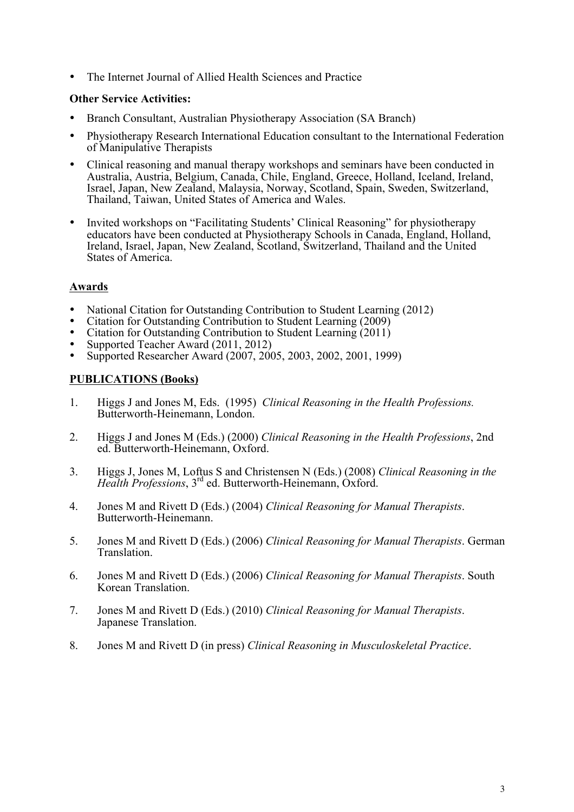• The Internet Journal of Allied Health Sciences and Practice

#### **Other Service Activities:**

- Branch Consultant, Australian Physiotherapy Association (SA Branch)
- Physiotherapy Research International Education consultant to the International Federation of Manipulative Therapists
- Clinical reasoning and manual therapy workshops and seminars have been conducted in Australia, Austria, Belgium, Canada, Chile, England, Greece, Holland, Iceland, Ireland, Israel, Japan, New Zealand, Malaysia, Norway, Scotland, Spain, Sweden, Switzerland, Thailand, Taiwan, United States of America and Wales.
- Invited workshops on "Facilitating Students' Clinical Reasoning" for physiotherapy educators have been conducted at Physiotherapy Schools in Canada, England, Holland, Ireland, Israel, Japan, New Zealand, Scotland, Switzerland, Thailand and the United States of America.

#### **Awards**

- National Citation for Outstanding Contribution to Student Learning (2012)
- Citation for Outstanding Contribution to Student Learning (2009)
- Citation for Outstanding Contribution to Student Learning (2011)
- Supported Teacher Award (2011, 2012)
- Supported Researcher Award (2007, 2005, 2003, 2002, 2001, 1999)

#### **PUBLICATIONS (Books)**

- 1. Higgs J and Jones M, Eds. (1995) *Clinical Reasoning in the Health Professions.*  Butterworth-Heinemann, London.
- 2. Higgs J and Jones M (Eds.) (2000) *Clinical Reasoning in the Health Professions*, 2nd ed. Butterworth-Heinemann, Oxford.
- 3. Higgs J, Jones M, Loftus S and Christensen N (Eds.) (2008) *Clinical Reasoning in the Health Professions*, 3rd ed. Butterworth-Heinemann, Oxford.
- 4. Jones M and Rivett D (Eds.) (2004) *Clinical Reasoning for Manual Therapists*. Butterworth-Heinemann.
- 5. Jones M and Rivett D (Eds.) (2006) *Clinical Reasoning for Manual Therapists*. German Translation.
- 6. Jones M and Rivett D (Eds.) (2006) *Clinical Reasoning for Manual Therapists*. South Korean Translation.
- 7. Jones M and Rivett D (Eds.) (2010) *Clinical Reasoning for Manual Therapists*. Japanese Translation.
- 8. Jones M and Rivett D (in press) *Clinical Reasoning in Musculoskeletal Practice*.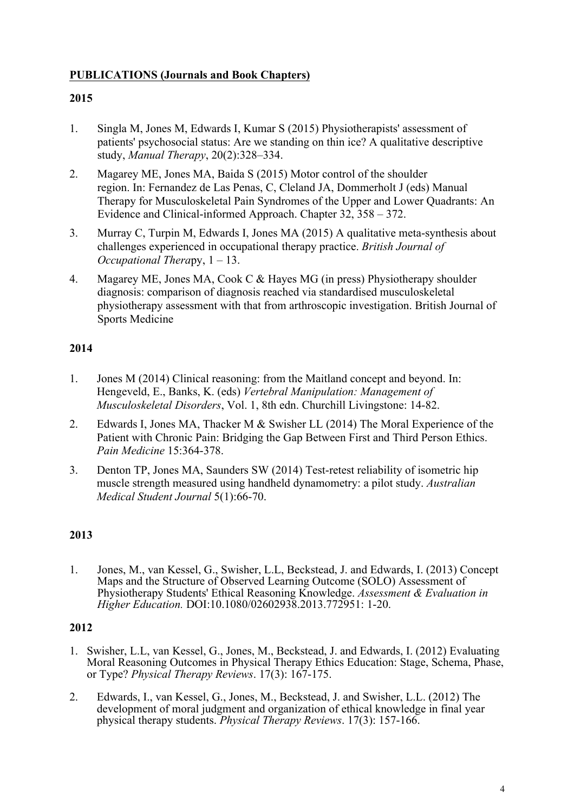## **PUBLICATIONS (Journals and Book Chapters)**

## **2015**

- 1. Singla M, Jones M, Edwards I, Kumar S (2015) Physiotherapists' assessment of patients' psychosocial status: Are we standing on thin ice? A qualitative descriptive study, *Manual Therapy*, 20(2):328–334.
- 2. Magarey ME, Jones MA, Baida S (2015) Motor control of the shoulder region. In: Fernandez de Las Penas, C, Cleland JA, Dommerholt J (eds) Manual Therapy for Musculoskeletal Pain Syndromes of the Upper and Lower Quadrants: An Evidence and Clinical-informed Approach. Chapter 32, 358 – 372.
- 3. Murray C, Turpin M, Edwards I, Jones MA (2015) A qualitative meta-synthesis about challenges experienced in occupational therapy practice. *British Journal of Occupational Thera*py, 1 – 13.
- 4. Magarey ME, Jones MA, Cook C & Hayes MG (in press) Physiotherapy shoulder diagnosis: comparison of diagnosis reached via standardised musculoskeletal physiotherapy assessment with that from arthroscopic investigation. British Journal of Sports Medicine

## **2014**

- 1. Jones M (2014) Clinical reasoning: from the Maitland concept and beyond. In: Hengeveld, E., Banks, K. (eds) *Vertebral Manipulation: Management of Musculoskeletal Disorders*, Vol. 1, 8th edn. Churchill Livingstone: 14-82.
- 2. Edwards I, Jones MA, Thacker M & Swisher LL (2014) The Moral Experience of the Patient with Chronic Pain: Bridging the Gap Between First and Third Person Ethics. *Pain Medicine* 15:364-378.
- 3. Denton TP, Jones MA, Saunders SW (2014) Test-retest reliability of isometric hip muscle strength measured using handheld dynamometry: a pilot study. *Australian Medical Student Journal* 5(1):66-70.

#### **2013**

1. Jones, M., van Kessel, G., Swisher, L.L, Beckstead, J. and Edwards, I. (2013) Concept Maps and the Structure of Observed Learning Outcome (SOLO) Assessment of Physiotherapy Students' Ethical Reasoning Knowledge. *Assessment & Evaluation in Higher Education.* DOI:10.1080/02602938.2013.772951: 1-20.

- 1. Swisher, L.L, van Kessel, G., Jones, M., Beckstead, J. and Edwards, I. (2012) Evaluating Moral Reasoning Outcomes in Physical Therapy Ethics Education: Stage, Schema, Phase, or Type? *Physical Therapy Reviews*. 17(3): 167-175.
- 2. Edwards, I., van Kessel, G., Jones, M., Beckstead, J. and Swisher, L.L. (2012) The development of moral judgment and organization of ethical knowledge in final year physical therapy students. *Physical Therapy Reviews*. 17(3): 157-166.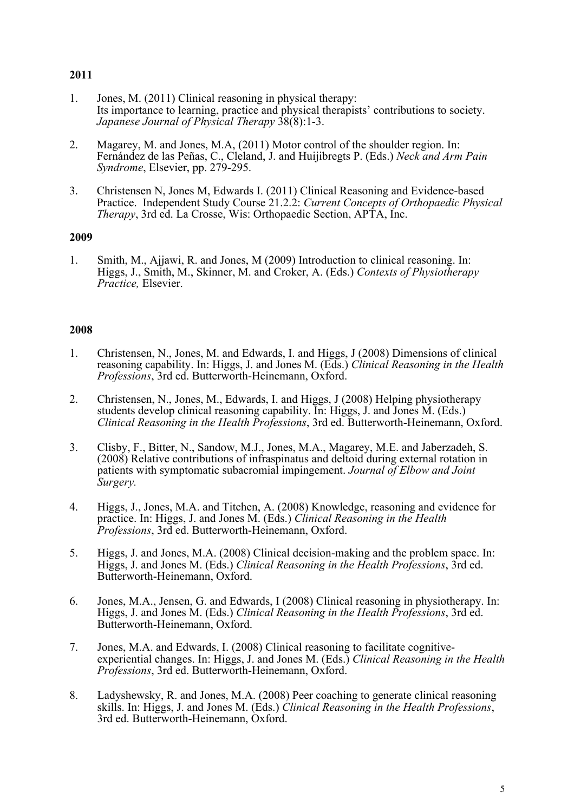- 1. Jones, M. (2011) Clinical reasoning in physical therapy: Its importance to learning, practice and physical therapists' contributions to society. *Japanese Journal of Physical Therapy* 38(8):1-3.
- 2. Magarey, M. and Jones, M.A, (2011) Motor control of the shoulder region. In: Fernández de las Peñas, C., Cleland, J. and Huijibregts P. (Eds.) *Neck and Arm Pain Syndrome*, Elsevier, pp. 279-295.
- 3. Christensen N, Jones M, Edwards I. (2011) Clinical Reasoning and Evidence-based Practice. Independent Study Course 21.2.2: *Current Concepts of Orthopaedic Physical Therapy*, 3rd ed. La Crosse, Wis: Orthopaedic Section, APTA, Inc.

#### **2009**

1. Smith, M., Ajjawi, R. and Jones, M (2009) Introduction to clinical reasoning. In: Higgs, J., Smith, M., Skinner, M. and Croker, A. (Eds.) *Contexts of Physiotherapy Practice,* Elsevier.

- 1. Christensen, N., Jones, M. and Edwards, I. and Higgs, J (2008) Dimensions of clinical reasoning capability. In: Higgs, J. and Jones M. (Eds.) *Clinical Reasoning in the Health Professions*, 3rd ed. Butterworth-Heinemann, Oxford.
- 2. Christensen, N., Jones, M., Edwards, I. and Higgs, J (2008) Helping physiotherapy students develop clinical reasoning capability. In: Higgs, J. and Jones M. (Eds.) *Clinical Reasoning in the Health Professions*, 3rd ed. Butterworth-Heinemann, Oxford.
- 3. Clisby, F., Bitter, N., Sandow, M.J., Jones, M.A., Magarey, M.E. and Jaberzadeh, S. (2008) Relative contributions of infraspinatus and deltoid during external rotation in patients with symptomatic subacromial impingement. *Journal of Elbow and Joint Surgery.*
- 4. Higgs, J., Jones, M.A. and Titchen, A. (2008) Knowledge, reasoning and evidence for practice. In: Higgs, J. and Jones M. (Eds.) *Clinical Reasoning in the Health Professions*, 3rd ed. Butterworth-Heinemann, Oxford.
- 5. Higgs, J. and Jones, M.A. (2008) Clinical decision-making and the problem space. In: Higgs, J. and Jones M. (Eds.) *Clinical Reasoning in the Health Professions*, 3rd ed. Butterworth-Heinemann, Oxford.
- 6. Jones, M.A., Jensen, G. and Edwards, I (2008) Clinical reasoning in physiotherapy. In: Higgs, J. and Jones M. (Eds.) *Clinical Reasoning in the Health Professions*, 3rd ed. Butterworth-Heinemann, Oxford.
- 7. Jones, M.A. and Edwards, I. (2008) Clinical reasoning to facilitate cognitiveexperiential changes. In: Higgs, J. and Jones M. (Eds.) *Clinical Reasoning in the Health Professions*, 3rd ed. Butterworth-Heinemann, Oxford.
- 8. Ladyshewsky, R. and Jones, M.A. (2008) Peer coaching to generate clinical reasoning skills. In: Higgs, J. and Jones M. (Eds.) *Clinical Reasoning in the Health Professions*, 3rd ed. Butterworth-Heinemann, Oxford.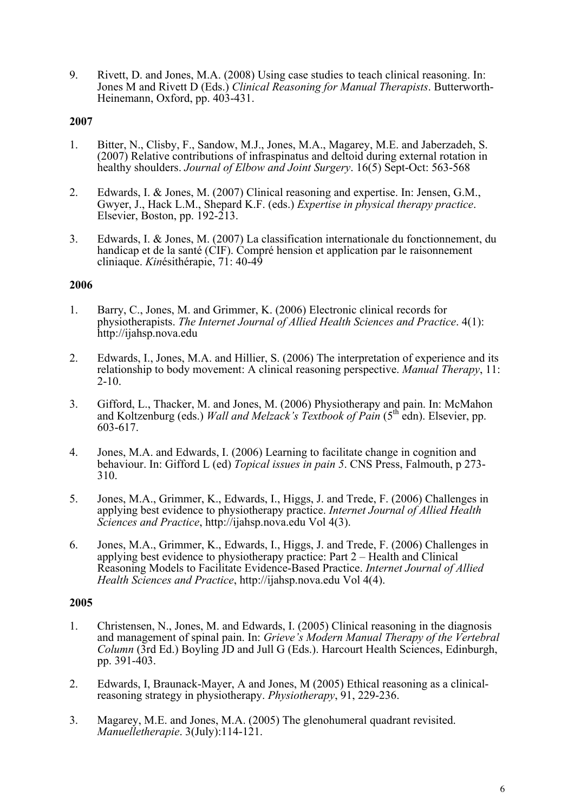9. Rivett, D. and Jones, M.A. (2008) Using case studies to teach clinical reasoning. In: Jones M and Rivett D (Eds.) *Clinical Reasoning for Manual Therapists*. Butterworth- Heinemann, Oxford, pp. 403-431.

#### **2007**

- 1. Bitter, N., Clisby, F., Sandow, M.J., Jones, M.A., Magarey, M.E. and Jaberzadeh, S. (2007) Relative contributions of infraspinatus and deltoid during external rotation in healthy shoulders. *Journal of Elbow and Joint Surgery*. 16(5) Sept-Oct: 563-568
- 2. Edwards, I. & Jones, M. (2007) Clinical reasoning and expertise. In: Jensen, G.M., Gwyer, J., Hack L.M., Shepard K.F. (eds.) *Expertise in physical therapy practice*. Elsevier, Boston, pp. 192-213.
- 3. Edwards, I. & Jones, M. (2007) La classification internationale du fonctionnement, du handicap et de la santé (CIF). Compré hension et application par le raisonnement cliniaque. *Kin*ésithérapie, 71: 40-49

#### **2006**

- 1. Barry, C., Jones, M. and Grimmer, K. (2006) Electronic clinical records for physiotherapists. *The Internet Journal of Allied Health Sciences and Practice*. 4(1): http://ijahsp.nova.edu
- 2. Edwards, I., Jones, M.A. and Hillier, S. (2006) The interpretation of experience and its relationship to body movement: A clinical reasoning perspective. *Manual Therapy*, 11: 2-10.
- 3. Gifford, L., Thacker, M. and Jones, M. (2006) Physiotherapy and pain. In: McMahon and Koltzenburg (eds.) *Wall and Melzack's Textbook of Pain* (5th edn). Elsevier, pp. 603-617.
- 4. Jones, M.A. and Edwards, I. (2006) Learning to facilitate change in cognition and behaviour. In: Gifford L (ed) *Topical issues in pain 5*. CNS Press, Falmouth, p 273- 310.
- 5. Jones, M.A., Grimmer, K., Edwards, I., Higgs, J. and Trede, F. (2006) Challenges in applying best evidence to physiotherapy practice. *Internet Journal of Allied Health Sciences and Practice*, http://ijahsp.nova.edu Vol 4(3).
- 6. Jones, M.A., Grimmer, K., Edwards, I., Higgs, J. and Trede, F. (2006) Challenges in applying best evidence to physiotherapy practice: Part 2 – Health and Clinical Reasoning Models to Facilitate Evidence-Based Practice. *Internet Journal of Allied Health Sciences and Practice*, http://ijahsp.nova.edu Vol 4(4).

- 1. Christensen, N., Jones, M. and Edwards, I. (2005) Clinical reasoning in the diagnosis and management of spinal pain. In: *Grieve's Modern Manual Therapy of the Vertebral Column* (3rd Ed.) Boyling JD and Jull G (Eds.). Harcourt Health Sciences, Edinburgh, pp. 391-403.
- 2. Edwards, I, Braunack-Mayer, A and Jones, M (2005) Ethical reasoning as a clinicalreasoning strategy in physiotherapy. *Physiotherapy*, 91, 229-236.
- 3. Magarey, M.E. and Jones, M.A. (2005) The glenohumeral quadrant revisited. *Manuelletherapie*. 3(July):114-121.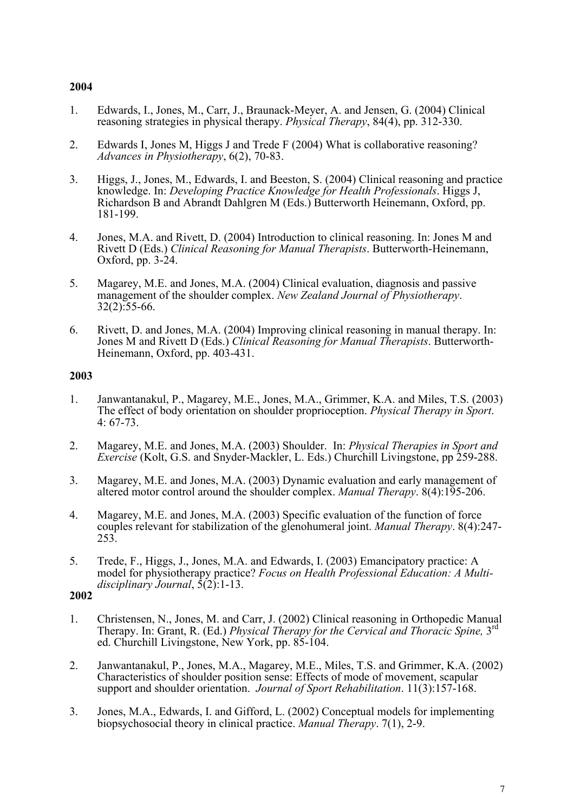- 1. Edwards, I., Jones, M., Carr, J., Braunack-Meyer, A. and Jensen, G. (2004) Clinical reasoning strategies in physical therapy. *Physical Therapy*, 84(4), pp. 312-330.
- 2. Edwards I, Jones M, Higgs J and Trede F (2004) What is collaborative reasoning? *Advances in Physiotherapy*, 6(2), 70-83.
- 3. Higgs, J., Jones, M., Edwards, I. and Beeston, S. (2004) Clinical reasoning and practice knowledge. In: *Developing Practice Knowledge for Health Professionals*. Higgs J, Richardson B and Abrandt Dahlgren M (Eds.) Butterworth Heinemann, Oxford, pp. 181-199.
- 4. Jones, M.A. and Rivett, D. (2004) Introduction to clinical reasoning. In: Jones M and Rivett D (Eds.) *Clinical Reasoning for Manual Therapists*. Butterworth-Heinemann, Oxford, pp. 3-24.
- 5. Magarey, M.E. and Jones, M.A. (2004) Clinical evaluation, diagnosis and passive management of the shoulder complex. *New Zealand Journal of Physiotherapy*. 32(2):55-66.
- 6. Rivett, D. and Jones, M.A. (2004) Improving clinical reasoning in manual therapy. In: Jones M and Rivett D (Eds.) *Clinical Reasoning for Manual Therapists*. Butterworth-Heinemann, Oxford, pp. 403-431.

#### **2003**

- 1. Janwantanakul, P., Magarey, M.E., Jones, M.A., Grimmer, K.A. and Miles, T.S. (2003) The effect of body orientation on shoulder proprioception. *Physical Therapy in Sport*. 4: 67-73.
- 2. Magarey, M.E. and Jones, M.A. (2003) Shoulder. In: *Physical Therapies in Sport and Exercise* (Kolt, G.S. and Snyder-Mackler, L. Eds.) Churchill Livingstone, pp 259-288.
- 3. Magarey, M.E. and Jones, M.A. (2003) Dynamic evaluation and early management of altered motor control around the shoulder complex. *Manual Therapy*. 8(4):195-206.
- 4. Magarey, M.E. and Jones, M.A. (2003) Specific evaluation of the function of force couples relevant for stabilization of the glenohumeral joint. *Manual Therapy*. 8(4):247- 253.
- 5. Trede, F., Higgs, J., Jones, M.A. and Edwards, I. (2003) Emancipatory practice: A model for physiotherapy practice? *Focus on Health Professional Education: A Multidisciplinary Journal*, 5(2):1-13.

- 1. Christensen, N., Jones, M. and Carr, J. (2002) Clinical reasoning in Orthopedic Manual Therapy. In: Grant, R. (Ed.) *Physical Therapy for the Cervical and Thoracic Spine,* 3rd ed. Churchill Livingstone, New York, pp. 85-104.
- 2. Janwantanakul, P., Jones, M.A., Magarey, M.E., Miles, T.S. and Grimmer, K.A. (2002) Characteristics of shoulder position sense: Effects of mode of movement, scapular support and shoulder orientation. *Journal of Sport Rehabilitation*. 11(3):157-168.
- 3. Jones, M.A., Edwards, I. and Gifford, L. (2002) Conceptual models for implementing biopsychosocial theory in clinical practice. *Manual Therapy*. 7(1), 2-9.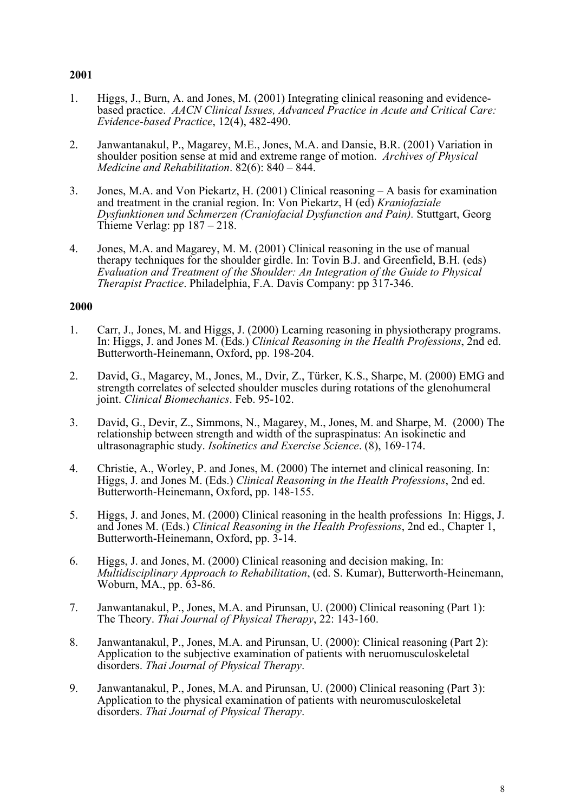- 1. Higgs, J., Burn, A. and Jones, M. (2001) Integrating clinical reasoning and evidence- based practice. *AACN Clinical Issues, Advanced Practice in Acute and Critical Care: Evidence-based Practice*, 12(4), 482-490.
- 2. Janwantanakul, P., Magarey, M.E., Jones, M.A. and Dansie, B.R. (2001) Variation in shoulder position sense at mid and extreme range of motion. *Archives of Physical Medicine and Rehabilitation*. 82(6): 840 – 844.
- 3. Jones, M.A. and Von Piekartz, H. (2001) Clinical reasoning A basis for examination and treatment in the cranial region. In: Von Piekartz, H (ed) *Kraniofaziale Dysfunktionen und Schmerzen (Craniofacial Dysfunction and Pain).* Stuttgart, Georg Thieme Verlag: pp 187 – 218.
- 4. Jones, M.A. and Magarey, M. M. (2001) Clinical reasoning in the use of manual therapy techniques for the shoulder girdle. In: Tovin B.J. and Greenfield, B.H. (eds) *Evaluation and Treatment of the Shoulder: An Integration of the Guide to Physical Therapist Practice*. Philadelphia, F.A. Davis Company: pp 317-346.

- 1. Carr, J., Jones, M. and Higgs, J. (2000) Learning reasoning in physiotherapy programs. In: Higgs, J. and Jones M. (Eds.) *Clinical Reasoning in the Health Professions*, 2nd ed. Butterworth-Heinemann, Oxford, pp. 198-204.
- 2. David, G., Magarey, M., Jones, M., Dvir, Z., Türker, K.S., Sharpe, M. (2000) EMG and strength correlates of selected shoulder muscles during rotations of the glenohumeral joint. *Clinical Biomechanics*. Feb. 95-102.
- 3. David, G., Devir, Z., Simmons, N., Magarey, M., Jones, M. and Sharpe, M. (2000) The relationship between strength and width of the supraspinatus: An isokinetic and ultrasonagraphic study. *Isokinetics and Exercise Science*. (8), 169-174.
- 4. Christie, A., Worley, P. and Jones, M. (2000) The internet and clinical reasoning. In: Higgs, J. and Jones M. (Eds.) *Clinical Reasoning in the Health Professions*, 2nd ed. Butterworth-Heinemann, Oxford, pp. 148-155.
- 5. Higgs, J. and Jones, M. (2000) Clinical reasoning in the health professions In: Higgs, J. and Jones M. (Eds.) *Clinical Reasoning in the Health Professions*, 2nd ed., Chapter 1, Butterworth-Heinemann, Oxford, pp. 3-14.
- 6. Higgs, J. and Jones, M. (2000) Clinical reasoning and decision making, In: *Multidisciplinary Approach to Rehabilitation*, (ed. S. Kumar), Butterworth-Heinemann, Woburn, MA., pp. 63-86.
- 7. Janwantanakul, P., Jones, M.A. and Pirunsan, U. (2000) Clinical reasoning (Part 1): The Theory. *Thai Journal of Physical Therapy*, 22: 143-160.
- 8. Janwantanakul, P., Jones, M.A. and Pirunsan, U. (2000): Clinical reasoning (Part 2): Application to the subjective examination of patients with neruomusculoskeletal disorders. *Thai Journal of Physical Therapy*.
- 9. Janwantanakul, P., Jones, M.A. and Pirunsan, U. (2000) Clinical reasoning (Part 3): Application to the physical examination of patients with neuromusculoskeletal disorders. *Thai Journal of Physical Therapy*.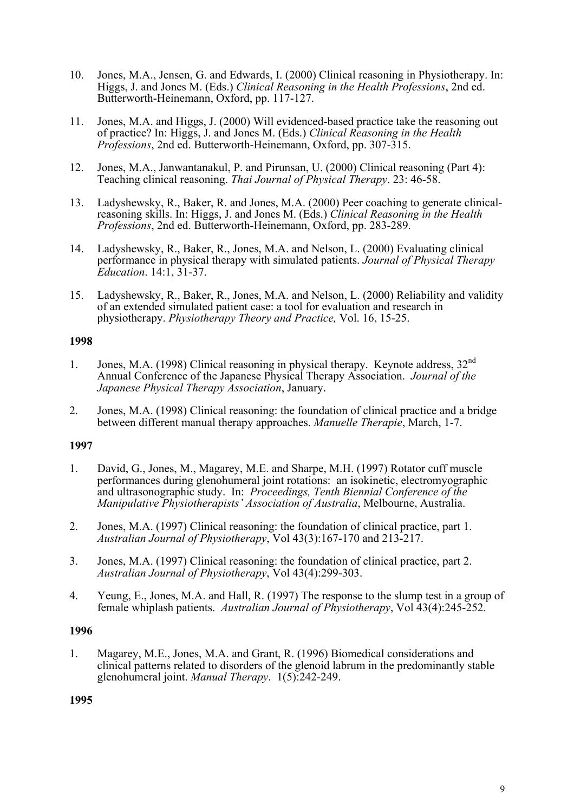- 10. Jones, M.A., Jensen, G. and Edwards, I. (2000) Clinical reasoning in Physiotherapy. In: Higgs, J. and Jones M. (Eds.) *Clinical Reasoning in the Health Professions*, 2nd ed. Butterworth-Heinemann, Oxford, pp. 117-127.
- 11. Jones, M.A. and Higgs, J. (2000) Will evidenced-based practice take the reasoning out of practice? In: Higgs, J. and Jones M. (Eds.) *Clinical Reasoning in the Health Professions*, 2nd ed. Butterworth-Heinemann, Oxford, pp. 307-315.
- 12. Jones, M.A., Janwantanakul, P. and Pirunsan, U. (2000) Clinical reasoning (Part 4): Teaching clinical reasoning. *Thai Journal of Physical Therapy*. 23: 46-58.
- 13. Ladyshewsky, R., Baker, R. and Jones, M.A. (2000) Peer coaching to generate clinical- reasoning skills. In: Higgs, J. and Jones M. (Eds.) *Clinical Reasoning in the Health Professions*, 2nd ed. Butterworth-Heinemann, Oxford, pp. 283-289.
- 14. Ladyshewsky, R., Baker, R., Jones, M.A. and Nelson, L. (2000) Evaluating clinical performance in physical therapy with simulated patients. *Journal of Physical Therapy Education*. 14:1, 31-37.
- 15. Ladyshewsky, R., Baker, R., Jones, M.A. and Nelson, L. (2000) Reliability and validity of an extended simulated patient case: a tool for evaluation and research in physiotherapy. *Physiotherapy Theory and Practice,* Vol. 16, 15-25.

- 1. Jones, M.A. (1998) Clinical reasoning in physical therapy. Keynote address, 32nd Annual Conference of the Japanese Physical Therapy Association. *Journal of the Japanese Physical Therapy Association*, January.
- 2. Jones, M.A. (1998) Clinical reasoning: the foundation of clinical practice and a bridge between different manual therapy approaches. *Manuelle Therapie*, March, 1-7.

#### **1997**

- 1. David, G., Jones, M., Magarey, M.E. and Sharpe, M.H. (1997) Rotator cuff muscle performances during glenohumeral joint rotations: an isokinetic, electromyographic and ultrasonographic study. In: *Proceedings, Tenth Biennial Conference of the Manipulative Physiotherapists' Association of Australia*, Melbourne, Australia.
- 2. Jones, M.A. (1997) Clinical reasoning: the foundation of clinical practice, part 1. *Australian Journal of Physiotherapy*, Vol 43(3):167-170 and 213-217.
- 3. Jones, M.A. (1997) Clinical reasoning: the foundation of clinical practice, part 2. *Australian Journal of Physiotherapy*, Vol 43(4):299-303.
- 4. Yeung, E., Jones, M.A. and Hall, R. (1997) The response to the slump test in a group of female whiplash patients. *Australian Journal of Physiotherapy*, Vol 43(4):245-252.

#### **1996**

1. Magarey, M.E., Jones, M.A. and Grant, R. (1996) Biomedical considerations and clinical patterns related to disorders of the glenoid labrum in the predominantly stable glenohumeral joint. *Manual Therapy*. 1(5):242-249.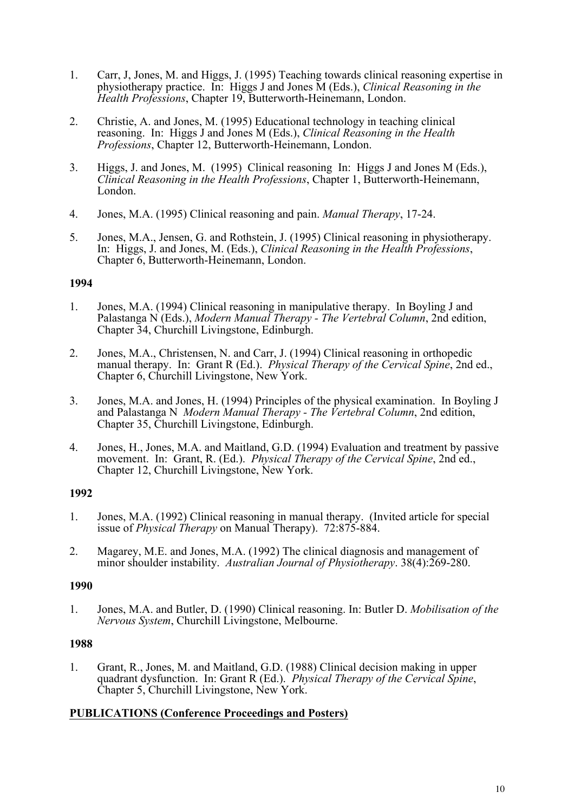- 1. Carr, J, Jones, M. and Higgs, J. (1995) Teaching towards clinical reasoning expertise in physiotherapy practice. In: Higgs J and Jones M (Eds.), *Clinical Reasoning in the Health Professions*, Chapter 19, Butterworth-Heinemann, London.
- 2. Christie, A. and Jones, M. (1995) Educational technology in teaching clinical reasoning. In: Higgs J and Jones M (Eds.), *Clinical Reasoning in the Health Professions*, Chapter 12, Butterworth-Heinemann, London.
- 3. Higgs, J. and Jones, M. (1995) Clinical reasoning In: Higgs J and Jones M (Eds.), *Clinical Reasoning in the Health Professions*, Chapter 1, Butterworth-Heinemann, London.
- 4. Jones, M.A. (1995) Clinical reasoning and pain. *Manual Therapy*, 17-24.
- 5. Jones, M.A., Jensen, G. and Rothstein, J. (1995) Clinical reasoning in physiotherapy. In: Higgs, J. and Jones, M. (Eds.), *Clinical Reasoning in the Health Professions*, Chapter 6, Butterworth-Heinemann, London.

- 1. Jones, M.A. (1994) Clinical reasoning in manipulative therapy. In Boyling J and Palastanga N (Eds.), *Modern Manual Therapy - The Vertebral Column*, 2nd edition, Chapter 34, Churchill Livingstone, Edinburgh.
- 2. Jones, M.A., Christensen, N. and Carr, J. (1994) Clinical reasoning in orthopedic manual therapy. In: Grant R (Ed.). *Physical Therapy of the Cervical Spine*, 2nd ed., Chapter 6, Churchill Livingstone, New York.
- 3. Jones, M.A. and Jones, H. (1994) Principles of the physical examination. In Boyling J and Palastanga N *Modern Manual Therapy - The Vertebral Column*, 2nd edition, Chapter 35, Churchill Livingstone, Edinburgh.
- 4. Jones, H., Jones, M.A. and Maitland, G.D. (1994) Evaluation and treatment by passive movement. In: Grant, R. (Ed.). *Physical Therapy of the Cervical Spine*, 2nd ed., Chapter 12, Churchill Livingstone, New York.

#### **1992**

- 1. Jones, M.A. (1992) Clinical reasoning in manual therapy. (Invited article for special issue of *Physical Therapy* on Manual Therapy). 72:875-884.
- 2. Magarey, M.E. and Jones, M.A. (1992) The clinical diagnosis and management of minor shoulder instability. *Australian Journal of Physiotherapy*. 38(4):269-280.

#### **1990**

1. Jones, M.A. and Butler, D. (1990) Clinical reasoning. In: Butler D. *Mobilisation of the Nervous System*, Churchill Livingstone, Melbourne.

#### **1988**

1. Grant, R., Jones, M. and Maitland, G.D. (1988) Clinical decision making in upper quadrant dysfunction. In: Grant R (Ed.). *Physical Therapy of the Cervical Spine*, Chapter 5, Churchill Livingstone, New York.

#### **PUBLICATIONS (Conference Proceedings and Posters)**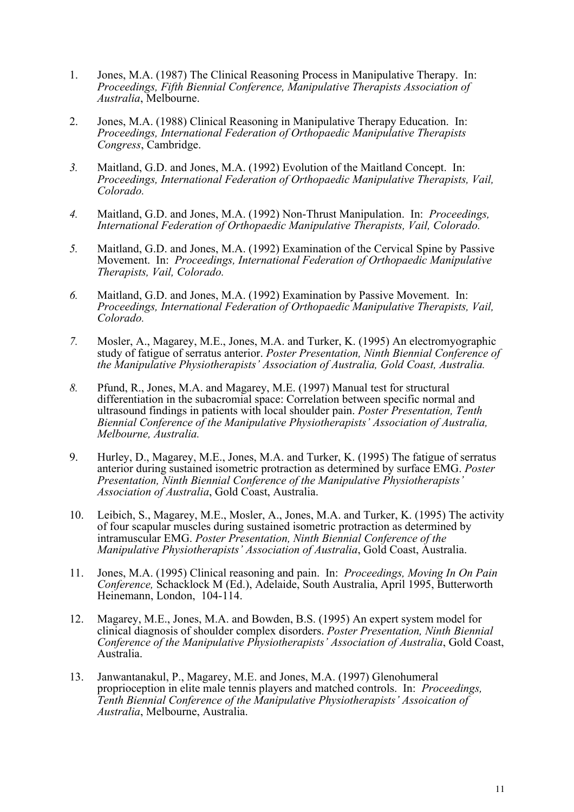- 1. Jones, M.A. (1987) The Clinical Reasoning Process in Manipulative Therapy. In: *Proceedings, Fifth Biennial Conference, Manipulative Therapists Association of Australia*, Melbourne.
- 2. Jones, M.A. (1988) Clinical Reasoning in Manipulative Therapy Education. In: *Proceedings, International Federation of Orthopaedic Manipulative Therapists Congress*, Cambridge.
- *3.* Maitland, G.D. and Jones, M.A. (1992) Evolution of the Maitland Concept. In: *Proceedings, International Federation of Orthopaedic Manipulative Therapists, Vail, Colorado.*
- *4.* Maitland, G.D. and Jones, M.A. (1992) Non-Thrust Manipulation. In: *Proceedings, International Federation of Orthopaedic Manipulative Therapists, Vail, Colorado.*
- *5.* Maitland, G.D. and Jones, M.A. (1992) Examination of the Cervical Spine by Passive Movement. In: *Proceedings, International Federation of Orthopaedic Manipulative Therapists, Vail, Colorado.*
- *6.* Maitland, G.D. and Jones, M.A. (1992) Examination by Passive Movement. In: *Proceedings, International Federation of Orthopaedic Manipulative Therapists, Vail, Colorado.*
- *7.* Mosler, A., Magarey, M.E., Jones, M.A. and Turker, K. (1995) An electromyographic study of fatigue of serratus anterior. *Poster Presentation, Ninth Biennial Conference of the Manipulative Physiotherapists' Association of Australia, Gold Coast, Australia.*
- *8.* Pfund, R., Jones, M.A. and Magarey, M.E. (1997) Manual test for structural differentiation in the subacromial space: Correlation between specific normal and ultrasound findings in patients with local shoulder pain. *Poster Presentation, Tenth Biennial Conference of the Manipulative Physiotherapists' Association of Australia, Melbourne, Australia.*
- 9. Hurley, D., Magarey, M.E., Jones, M.A. and Turker, K. (1995) The fatigue of serratus anterior during sustained isometric protraction as determined by surface EMG. *Poster Presentation, Ninth Biennial Conference of the Manipulative Physiotherapists' Association of Australia*, Gold Coast, Australia.
- 10. Leibich, S., Magarey, M.E., Mosler, A., Jones, M.A. and Turker, K. (1995) The activity of four scapular muscles during sustained isometric protraction as determined by intramuscular EMG. *Poster Presentation, Ninth Biennial Conference of the Manipulative Physiotherapists' Association of Australia*, Gold Coast, Australia.
- 11. Jones, M.A. (1995) Clinical reasoning and pain. In: *Proceedings, Moving In On Pain Conference,* Schacklock M (Ed.), Adelaide, South Australia, April 1995, Butterworth Heinemann, London, 104-114.
- 12. Magarey, M.E., Jones, M.A. and Bowden, B.S. (1995) An expert system model for clinical diagnosis of shoulder complex disorders. *Poster Presentation, Ninth Biennial Conference of the Manipulative Physiotherapists' Association of Australia*, Gold Coast, Australia.
- 13. Janwantanakul, P., Magarey, M.E. and Jones, M.A. (1997) Glenohumeral proprioception in elite male tennis players and matched controls. In: *Proceedings, Tenth Biennial Conference of the Manipulative Physiotherapists' Assoication of Australia*, Melbourne, Australia.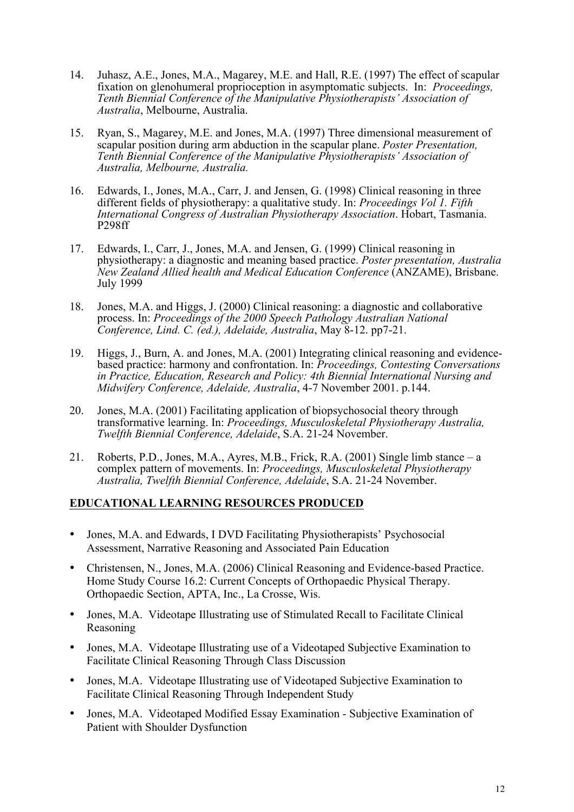- 14. Juhasz, A.E., Jones, M.A., Magarey, M.E. and Hall, R.E. (1997) The effect of scapular fixation on glenohumeral proprioception in asymptomatic subjects. In: *Proceedings, Tenth Biennial Conference of the Manipulative Physiotherapists' Association of Australia*, Melbourne, Australia.
- 15. Ryan, S., Magarey, M.E. and Jones, M.A. (1997) Three dimensional measurement of scapular position during arm abduction in the scapular plane. *Poster Presentation, Tenth Biennial Conference of the Manipulative Physiotherapists' Association of Australia, Melbourne, Australia.*
- 16. Edwards, I., Jones, M.A., Carr, J. and Jensen, G. (1998) Clinical reasoning in three different fields of physiotherapy: a qualitative study. In: *Proceedings Vol 1. Fifth International Congress of Australian Physiotherapy Association*. Hobart, Tasmania. P298ff
- 17. Edwards, I., Carr, J., Jones, M.A. and Jensen, G. (1999) Clinical reasoning in physiotherapy: a diagnostic and meaning based practice. *Poster presentation, Australia New Zealand Allied health and Medical Education Conference* (ANZAME), Brisbane. July 1999
- 18. Jones, M.A. and Higgs, J. (2000) Clinical reasoning: a diagnostic and collaborative process. In: *Proceedings of the 2000 Speech Pathology Australian National Conference, Lind. C. (ed.), Adelaide, Australia*, May 8-12. pp7-21.
- 19. Higgs, J., Burn, A. and Jones, M.A. (2001) Integrating clinical reasoning and evidencebased practice: harmony and confrontation. In: *Proceedings, Contesting Conversations in Practice, Education, Research and Policy: 4th Biennial International Nursing and Midwifery Conference, Adelaide, Australia*, 4-7 November 2001. p.144.
- 20. Jones, M.A. (2001) Facilitating application of biopsychosocial theory through transformative learning. In: *Proceedings, Musculoskeletal Physiotherapy Australia, Twelfth Biennial Conference, Adelaide*, S.A. 21-24 November.
- 21. Roberts, P.D., Jones, M.A., Ayres, M.B., Frick, R.A. (2001) Single limb stance a complex pattern of movements. In: *Proceedings, Musculoskeletal Physiotherapy Australia, Twelfth Biennial Conference, Adelaide*, S.A. 21-24 November.

#### **EDUCATIONAL LEARNING RESOURCES PRODUCED**

- Jones, M.A. and Edwards, I DVD Facilitating Physiotherapists' Psychosocial Assessment, Narrative Reasoning and Associated Pain Education
- Christensen, N., Jones, M.A. (2006) Clinical Reasoning and Evidence-based Practice. Home Study Course 16.2: Current Concepts of Orthopaedic Physical Therapy. Orthopaedic Section, APTA, Inc., La Crosse, Wis.
- Jones, M.A. Videotape Illustrating use of Stimulated Recall to Facilitate Clinical Reasoning
- Jones, M.A. Videotape Illustrating use of a Videotaped Subjective Examination to Facilitate Clinical Reasoning Through Class Discussion
- Jones, M.A. Videotape Illustrating use of Videotaped Subjective Examination to Facilitate Clinical Reasoning Through Independent Study
- Jones, M.A. Videotaped Modified Essay Examination Subjective Examination of Patient with Shoulder Dysfunction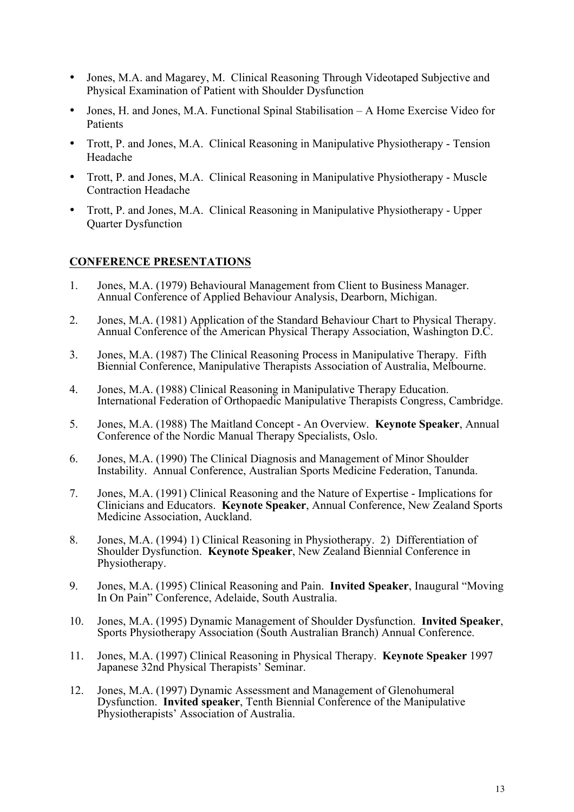- Jones, M.A. and Magarey, M. Clinical Reasoning Through Videotaped Subjective and Physical Examination of Patient with Shoulder Dysfunction
- Jones, H. and Jones, M.A. Functional Spinal Stabilisation A Home Exercise Video for Patients
- Trott, P. and Jones, M.A. Clinical Reasoning in Manipulative Physiotherapy Tension Headache
- Trott, P. and Jones, M.A. Clinical Reasoning in Manipulative Physiotherapy Muscle Contraction Headache
- Trott, P. and Jones, M.A. Clinical Reasoning in Manipulative Physiotherapy Upper Quarter Dysfunction

#### **CONFERENCE PRESENTATIONS**

- 1. Jones, M.A. (1979) Behavioural Management from Client to Business Manager. Annual Conference of Applied Behaviour Analysis, Dearborn, Michigan.
- 2. Jones, M.A. (1981) Application of the Standard Behaviour Chart to Physical Therapy. Annual Conference of the American Physical Therapy Association, Washington D.C.
- 3. Jones, M.A. (1987) The Clinical Reasoning Process in Manipulative Therapy. Fifth Biennial Conference, Manipulative Therapists Association of Australia, Melbourne.
- 4. Jones, M.A. (1988) Clinical Reasoning in Manipulative Therapy Education. International Federation of Orthopaedic Manipulative Therapists Congress, Cambridge.
- 5. Jones, M.A. (1988) The Maitland Concept An Overview. **Keynote Speaker**, Annual Conference of the Nordic Manual Therapy Specialists, Oslo.
- 6. Jones, M.A. (1990) The Clinical Diagnosis and Management of Minor Shoulder Instability. Annual Conference, Australian Sports Medicine Federation, Tanunda.
- 7. Jones, M.A. (1991) Clinical Reasoning and the Nature of Expertise Implications for Clinicians and Educators. **Keynote Speaker**, Annual Conference, New Zealand Sports Medicine Association, Auckland.
- 8. Jones, M.A. (1994) 1) Clinical Reasoning in Physiotherapy. 2) Differentiation of Shoulder Dysfunction. **Keynote Speaker**, New Zealand Biennial Conference in Physiotherapy.
- 9. Jones, M.A. (1995) Clinical Reasoning and Pain. **Invited Speaker**, Inaugural "Moving In On Pain" Conference, Adelaide, South Australia.
- 10. Jones, M.A. (1995) Dynamic Management of Shoulder Dysfunction. **Invited Speaker**, Sports Physiotherapy Association (South Australian Branch) Annual Conference.
- 11. Jones, M.A. (1997) Clinical Reasoning in Physical Therapy. **Keynote Speaker** 1997 Japanese 32nd Physical Therapists' Seminar.
- 12. Jones, M.A. (1997) Dynamic Assessment and Management of Glenohumeral Dysfunction. **Invited speaker**, Tenth Biennial Conference of the Manipulative Physiotherapists' Association of Australia.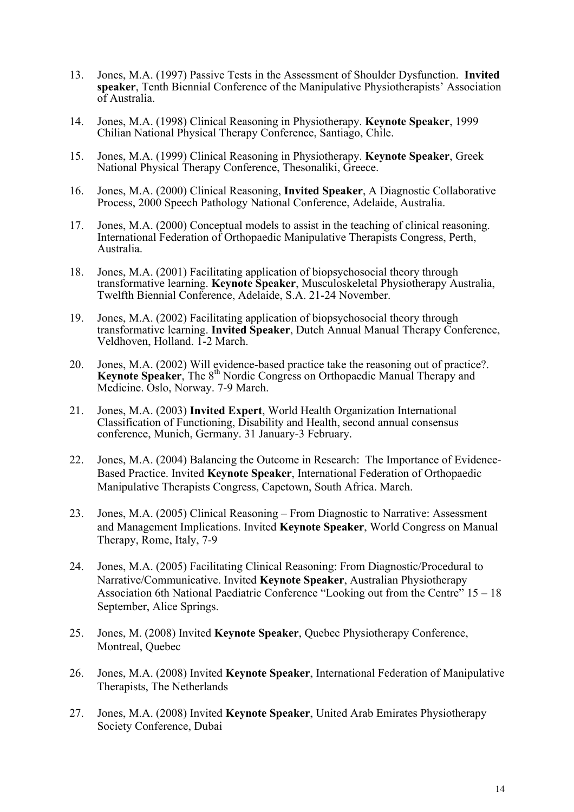- 13. Jones, M.A. (1997) Passive Tests in the Assessment of Shoulder Dysfunction. **Invited speaker**, Tenth Biennial Conference of the Manipulative Physiotherapists' Association of Australia.
- 14. Jones, M.A. (1998) Clinical Reasoning in Physiotherapy. **Keynote Speaker**, 1999 Chilian National Physical Therapy Conference, Santiago, Chile.
- 15. Jones, M.A. (1999) Clinical Reasoning in Physiotherapy. **Keynote Speaker**, Greek National Physical Therapy Conference, Thesonaliki, Greece.
- 16. Jones, M.A. (2000) Clinical Reasoning, **Invited Speaker**, A Diagnostic Collaborative Process, 2000 Speech Pathology National Conference, Adelaide, Australia.
- 17. Jones, M.A. (2000) Conceptual models to assist in the teaching of clinical reasoning. International Federation of Orthopaedic Manipulative Therapists Congress, Perth, Australia.
- 18. Jones, M.A. (2001) Facilitating application of biopsychosocial theory through transformative learning. **Keynote Speaker**, Musculoskeletal Physiotherapy Australia, Twelfth Biennial Conference, Adelaide, S.A. 21-24 November.
- 19. Jones, M.A. (2002) Facilitating application of biopsychosocial theory through transformative learning. **Invited Speaker**, Dutch Annual Manual Therapy Conference, Veldhoven, Holland. 1-2 March.
- 20. Jones, M.A. (2002) Will evidence-based practice take the reasoning out of practice?. **Keynote Speaker**, The 8<sup>th</sup> Nordic Congress on Orthopaedic Manual Therapy and Medicine. Oslo, Norway. 7-9 March.
- 21. Jones, M.A. (2003) **Invited Expert**, World Health Organization International Classification of Functioning, Disability and Health, second annual consensus conference, Munich, Germany. 31 January-3 February.
- 22. Jones, M.A. (2004) Balancing the Outcome in Research: The Importance of Evidence-Based Practice. Invited **Keynote Speaker**, International Federation of Orthopaedic Manipulative Therapists Congress, Capetown, South Africa. March.
- 23. Jones, M.A. (2005) Clinical Reasoning From Diagnostic to Narrative: Assessment and Management Implications. Invited **Keynote Speaker**, World Congress on Manual Therapy, Rome, Italy, 7-9
- 24. Jones, M.A. (2005) Facilitating Clinical Reasoning: From Diagnostic/Procedural to Narrative/Communicative. Invited **Keynote Speaker**, Australian Physiotherapy Association 6th National Paediatric Conference "Looking out from the Centre" 15 – 18 September, Alice Springs.
- 25. Jones, M. (2008) Invited **Keynote Speaker**, Quebec Physiotherapy Conference, Montreal, Quebec
- 26. Jones, M.A. (2008) Invited **Keynote Speaker**, International Federation of Manipulative Therapists, The Netherlands
- 27. Jones, M.A. (2008) Invited **Keynote Speaker**, United Arab Emirates Physiotherapy Society Conference, Dubai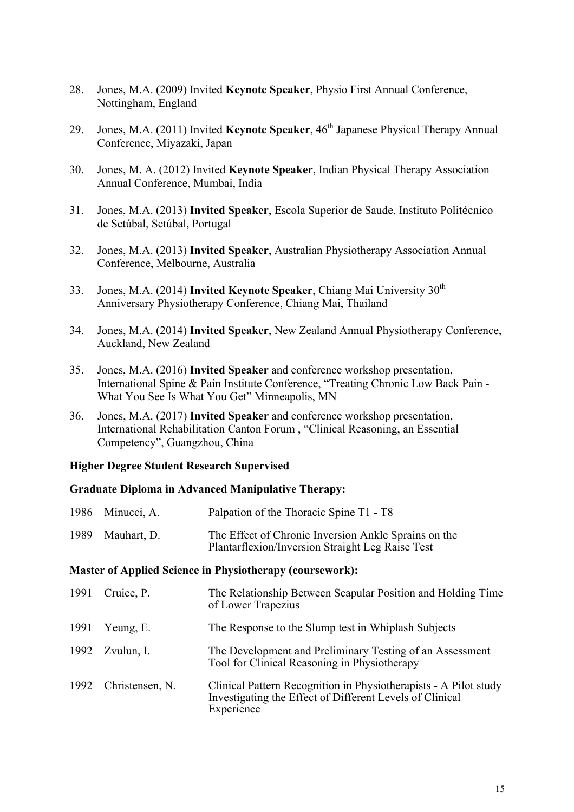- 28. Jones, M.A. (2009) Invited **Keynote Speaker**, Physio First Annual Conference, Nottingham, England
- 29. Jones, M.A. (2011) Invited **Keynote Speaker**, 46<sup>th</sup> Japanese Physical Therapy Annual Conference, Miyazaki, Japan
- 30. Jones, M. A. (2012) Invited **Keynote Speaker**, Indian Physical Therapy Association Annual Conference, Mumbai, India
- 31. Jones, M.A. (2013) **Invited Speaker**, Escola Superior de Saude, Instituto Politécnico de Setúbal, Setúbal, Portugal
- 32. Jones, M.A. (2013) **Invited Speaker**, Australian Physiotherapy Association Annual Conference, Melbourne, Australia
- 33. Jones, M.A. (2014) **Invited Keynote Speaker**, Chiang Mai University 30<sup>th</sup> Anniversary Physiotherapy Conference, Chiang Mai, Thailand
- 34. Jones, M.A. (2014) **Invited Speaker**, New Zealand Annual Physiotherapy Conference, Auckland, New Zealand
- 35. Jones, M.A. (2016) **Invited Speaker** and conference workshop presentation, International Spine & Pain Institute Conference, "Treating Chronic Low Back Pain - What You See Is What You Get" Minneapolis, MN
- 36. Jones, M.A. (2017) **Invited Speaker** and conference workshop presentation, International Rehabilitation Canton Forum , "Clinical Reasoning, an Essential Competency", Guangzhou, China

#### **Higher Degree Student Research Supervised**

#### **Graduate Diploma in Advanced Manipulative Therapy:**

| 1986 Minucci, A. | Palpation of the Thoracic Spine T1 - T8                                                                  |
|------------------|----------------------------------------------------------------------------------------------------------|
| 1989 Mauhart, D. | The Effect of Chronic Inversion Ankle Sprains on the<br>Plantarflexion/Inversion Straight Leg Raise Test |

#### **Master of Applied Science in Physiotherapy (coursework):**

| 1991 | Cruice, P.           | The Relationship Between Scapular Position and Holding Time<br>of Lower Trapezius                                                          |
|------|----------------------|--------------------------------------------------------------------------------------------------------------------------------------------|
| 1991 | Yeung, E.            | The Response to the Slump test in Whiplash Subjects                                                                                        |
|      | 1992 Zvulun, I.      | The Development and Preliminary Testing of an Assessment<br>Tool for Clinical Reasoning in Physiotherapy                                   |
|      | 1992 Christensen, N. | Clinical Pattern Recognition in Physiotherapists - A Pilot study<br>Investigating the Effect of Different Levels of Clinical<br>Experience |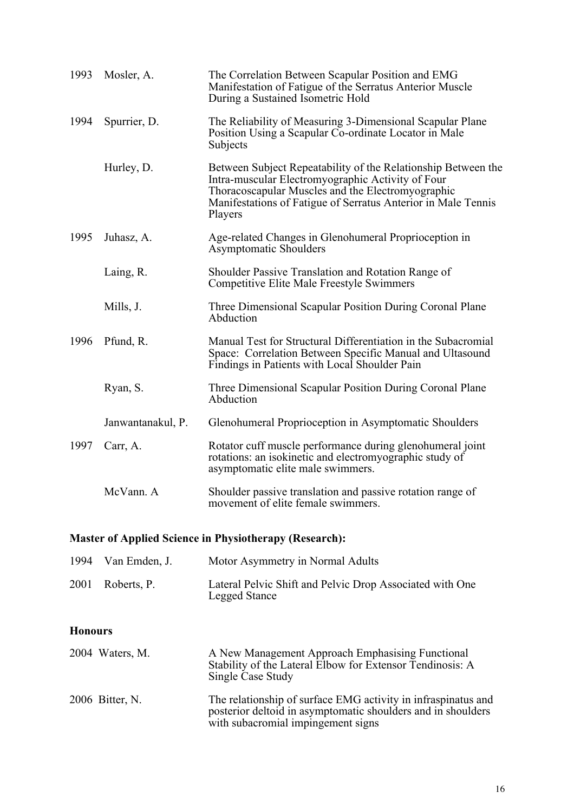| 1993 | Mosler, A.        | The Correlation Between Scapular Position and EMG<br>Manifestation of Fatigue of the Serratus Anterior Muscle<br>During a Sustained Isometric Hold                                                                                                  |
|------|-------------------|-----------------------------------------------------------------------------------------------------------------------------------------------------------------------------------------------------------------------------------------------------|
| 1994 | Spurrier, D.      | The Reliability of Measuring 3-Dimensional Scapular Plane<br>Position Using a Scapular Co-ordinate Locator in Male<br>Subjects                                                                                                                      |
|      | Hurley, D.        | Between Subject Repeatability of the Relationship Between the<br>Intra-muscular Electromyographic Activity of Four<br>Thoracoscapular Muscles and the Electromyographic<br>Manifestations of Fatigue of Serratus Anterior in Male Tennis<br>Players |
| 1995 | Juhasz, A.        | Age-related Changes in Glenohumeral Proprioception in<br><b>Asymptomatic Shoulders</b>                                                                                                                                                              |
|      | Laing, R.         | Shoulder Passive Translation and Rotation Range of<br><b>Competitive Elite Male Freestyle Swimmers</b>                                                                                                                                              |
|      | Mills, J.         | Three Dimensional Scapular Position During Coronal Plane<br>Abduction                                                                                                                                                                               |
| 1996 | Pfund, R.         | Manual Test for Structural Differentiation in the Subacromial<br>Space: Correlation Between Specific Manual and Ultasound<br>Findings in Patients with Local Shoulder Pain                                                                          |
|      | Ryan, S.          | Three Dimensional Scapular Position During Coronal Plane<br>Abduction                                                                                                                                                                               |
|      | Janwantanakul, P. | Glenohumeral Proprioception in Asymptomatic Shoulders                                                                                                                                                                                               |
| 1997 | Carr, A.          | Rotator cuff muscle performance during glenohumeral joint<br>rotations: an isokinetic and electromyographic study of<br>asymptomatic elite male swimmers.                                                                                           |
|      | McVann. A         | Shoulder passive translation and passive rotation range of<br>movement of elite female swimmers.                                                                                                                                                    |

## **Master of Applied Science in Physiotherapy (Research):**

| 1994 Van Emden, J. | Motor Asymmetry in Normal Adults                                                 |
|--------------------|----------------------------------------------------------------------------------|
| 2001 Roberts, P.   | Lateral Pelvic Shift and Pelvic Drop Associated with One<br><b>Legged Stance</b> |

## **Honours**

| 2004 Waters, M. | A New Management Approach Emphasising Functional<br>Stability of the Lateral Elbow for Extensor Tendinosis: A<br>Single Case Study                                  |
|-----------------|---------------------------------------------------------------------------------------------------------------------------------------------------------------------|
| 2006 Bitter, N. | The relationship of surface EMG activity in infraspinatus and<br>posterior deltoid in asymptomatic shoulders and in shoulders<br>with subacromial impingement signs |